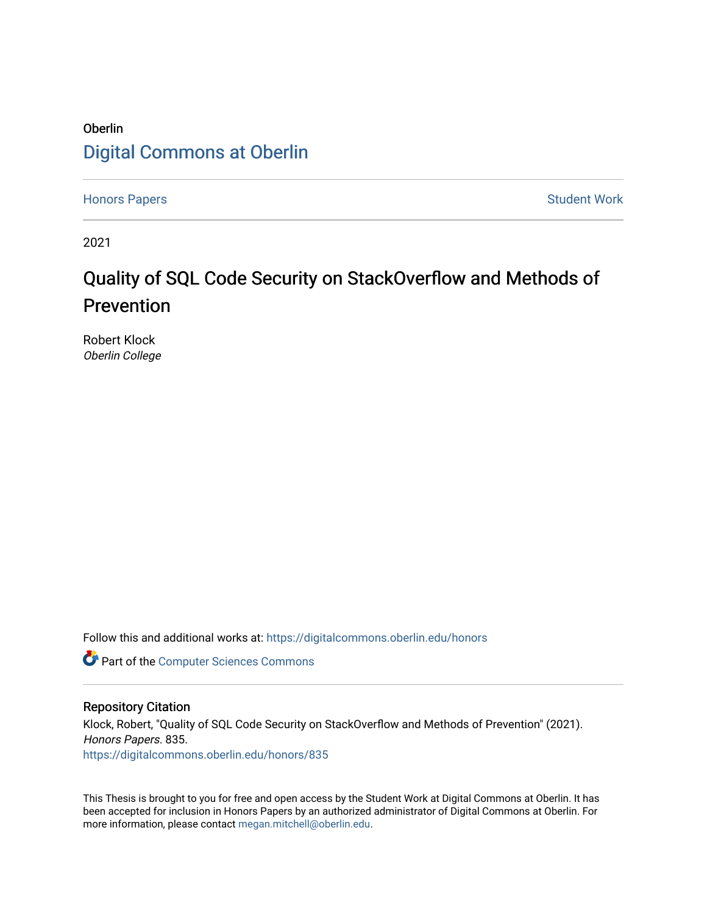## Oberlin [Digital Commons at Oberlin](https://digitalcommons.oberlin.edu/)

[Honors Papers](https://digitalcommons.oberlin.edu/honors) **Student Work** 

2021

# Quality of SQL Code Security on StackOverflow and Methods of Prevention

Robert Klock Oberlin College

Follow this and additional works at: [https://digitalcommons.oberlin.edu/honors](https://digitalcommons.oberlin.edu/honors?utm_source=digitalcommons.oberlin.edu%2Fhonors%2F835&utm_medium=PDF&utm_campaign=PDFCoverPages) 

**Part of the [Computer Sciences Commons](http://network.bepress.com/hgg/discipline/142?utm_source=digitalcommons.oberlin.edu%2Fhonors%2F835&utm_medium=PDF&utm_campaign=PDFCoverPages)** 

#### Repository Citation

Klock, Robert, "Quality of SQL Code Security on StackOverflow and Methods of Prevention" (2021). Honors Papers. 835. [https://digitalcommons.oberlin.edu/honors/835](https://digitalcommons.oberlin.edu/honors/835?utm_source=digitalcommons.oberlin.edu%2Fhonors%2F835&utm_medium=PDF&utm_campaign=PDFCoverPages) 

This Thesis is brought to you for free and open access by the Student Work at Digital Commons at Oberlin. It has been accepted for inclusion in Honors Papers by an authorized administrator of Digital Commons at Oberlin. For more information, please contact [megan.mitchell@oberlin.edu.](mailto:megan.mitchell@oberlin.edu)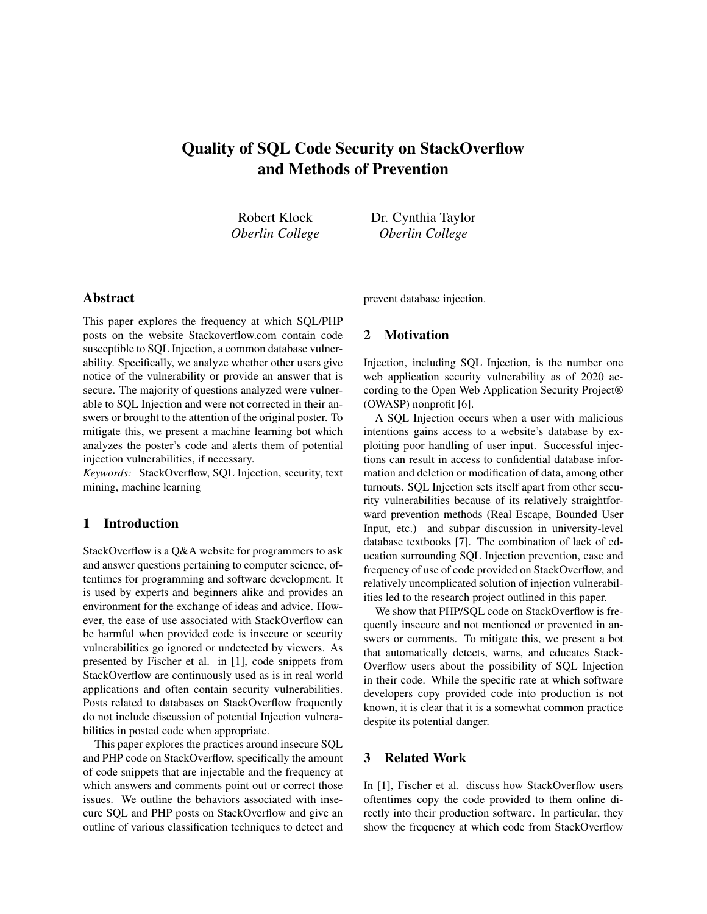### Quality of SQL Code Security on StackOverflow and Methods of Prevention

Robert Klock *Oberlin College* Dr. Cynthia Taylor *Oberlin College*

#### Abstract

This paper explores the frequency at which SQL/PHP posts on the website Stackoverflow.com contain code susceptible to SQL Injection, a common database vulnerability. Specifically, we analyze whether other users give notice of the vulnerability or provide an answer that is secure. The majority of questions analyzed were vulnerable to SQL Injection and were not corrected in their answers or brought to the attention of the original poster. To mitigate this, we present a machine learning bot which analyzes the poster's code and alerts them of potential injection vulnerabilities, if necessary.

*Keywords:* StackOverflow, SQL Injection, security, text mining, machine learning

#### 1 Introduction

StackOverflow is a Q&A website for programmers to ask and answer questions pertaining to computer science, oftentimes for programming and software development. It is used by experts and beginners alike and provides an environment for the exchange of ideas and advice. However, the ease of use associated with StackOverflow can be harmful when provided code is insecure or security vulnerabilities go ignored or undetected by viewers. As presented by Fischer et al. in [1], code snippets from StackOverflow are continuously used as is in real world applications and often contain security vulnerabilities. Posts related to databases on StackOverflow frequently do not include discussion of potential Injection vulnerabilities in posted code when appropriate.

This paper explores the practices around insecure SQL and PHP code on StackOverflow, specifically the amount of code snippets that are injectable and the frequency at which answers and comments point out or correct those issues. We outline the behaviors associated with insecure SQL and PHP posts on StackOverflow and give an outline of various classification techniques to detect and prevent database injection.

#### 2 Motivation

Injection, including SQL Injection, is the number one web application security vulnerability as of 2020 according to the Open Web Application Security Project® (OWASP) nonprofit [6].

A SQL Injection occurs when a user with malicious intentions gains access to a website's database by exploiting poor handling of user input. Successful injections can result in access to confidential database information and deletion or modification of data, among other turnouts. SQL Injection sets itself apart from other security vulnerabilities because of its relatively straightforward prevention methods (Real Escape, Bounded User Input, etc.) and subpar discussion in university-level database textbooks [7]. The combination of lack of education surrounding SQL Injection prevention, ease and frequency of use of code provided on StackOverflow, and relatively uncomplicated solution of injection vulnerabilities led to the research project outlined in this paper.

We show that PHP/SQL code on StackOverflow is frequently insecure and not mentioned or prevented in answers or comments. To mitigate this, we present a bot that automatically detects, warns, and educates Stack-Overflow users about the possibility of SQL Injection in their code. While the specific rate at which software developers copy provided code into production is not known, it is clear that it is a somewhat common practice despite its potential danger.

#### 3 Related Work

In [1], Fischer et al. discuss how StackOverflow users oftentimes copy the code provided to them online directly into their production software. In particular, they show the frequency at which code from StackOverflow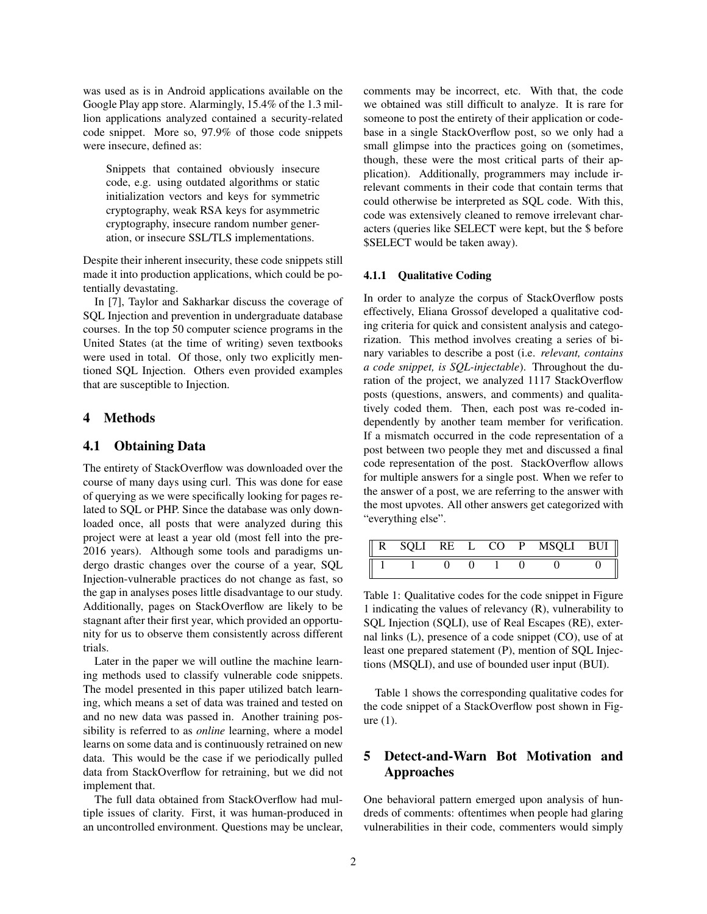was used as is in Android applications available on the Google Play app store. Alarmingly, 15.4% of the 1.3 million applications analyzed contained a security-related code snippet. More so, 97.9% of those code snippets were insecure, defined as:

Snippets that contained obviously insecure code, e.g. using outdated algorithms or static initialization vectors and keys for symmetric cryptography, weak RSA keys for asymmetric cryptography, insecure random number generation, or insecure SSL/TLS implementations.

Despite their inherent insecurity, these code snippets still made it into production applications, which could be potentially devastating.

In [7], Taylor and Sakharkar discuss the coverage of SQL Injection and prevention in undergraduate database courses. In the top 50 computer science programs in the United States (at the time of writing) seven textbooks were used in total. Of those, only two explicitly mentioned SQL Injection. Others even provided examples that are susceptible to Injection.

#### 4 Methods

#### 4.1 Obtaining Data

The entirety of StackOverflow was downloaded over the course of many days using curl. This was done for ease of querying as we were specifically looking for pages related to SQL or PHP. Since the database was only downloaded once, all posts that were analyzed during this project were at least a year old (most fell into the pre-2016 years). Although some tools and paradigms undergo drastic changes over the course of a year, SQL Injection-vulnerable practices do not change as fast, so the gap in analyses poses little disadvantage to our study. Additionally, pages on StackOverflow are likely to be stagnant after their first year, which provided an opportunity for us to observe them consistently across different trials.

Later in the paper we will outline the machine learning methods used to classify vulnerable code snippets. The model presented in this paper utilized batch learning, which means a set of data was trained and tested on and no new data was passed in. Another training possibility is referred to as *online* learning, where a model learns on some data and is continuously retrained on new data. This would be the case if we periodically pulled data from StackOverflow for retraining, but we did not implement that.

The full data obtained from StackOverflow had multiple issues of clarity. First, it was human-produced in an uncontrolled environment. Questions may be unclear, comments may be incorrect, etc. With that, the code we obtained was still difficult to analyze. It is rare for someone to post the entirety of their application or codebase in a single StackOverflow post, so we only had a small glimpse into the practices going on (sometimes, though, these were the most critical parts of their application). Additionally, programmers may include irrelevant comments in their code that contain terms that could otherwise be interpreted as SQL code. With this, code was extensively cleaned to remove irrelevant characters (queries like SELECT were kept, but the \$ before \$SELECT would be taken away).

#### 4.1.1 Qualitative Coding

In order to analyze the corpus of StackOverflow posts effectively, Eliana Grossof developed a qualitative coding criteria for quick and consistent analysis and categorization. This method involves creating a series of binary variables to describe a post (i.e. *relevant, contains a code snippet, is SQL-injectable*). Throughout the duration of the project, we analyzed 1117 StackOverflow posts (questions, answers, and comments) and qualitatively coded them. Then, each post was re-coded independently by another team member for verification. If a mismatch occurred in the code representation of a post between two people they met and discussed a final code representation of the post. StackOverflow allows for multiple answers for a single post. When we refer to the answer of a post, we are referring to the answer with the most upvotes. All other answers get categorized with "everything else".

|  | SQLI | RE L | CO P | MSQLI BUI |  |
|--|------|------|------|-----------|--|
|  |      |      |      |           |  |

Table 1: Qualitative codes for the code snippet in Figure 1 indicating the values of relevancy (R), vulnerability to SQL Injection (SQLI), use of Real Escapes (RE), external links (L), presence of a code snippet (CO), use of at least one prepared statement (P), mention of SQL Injections (MSQLI), and use of bounded user input (BUI).

Table 1 shows the corresponding qualitative codes for the code snippet of a StackOverflow post shown in Figure (1).

#### 5 Detect-and-Warn Bot Motivation and Approaches

One behavioral pattern emerged upon analysis of hundreds of comments: oftentimes when people had glaring vulnerabilities in their code, commenters would simply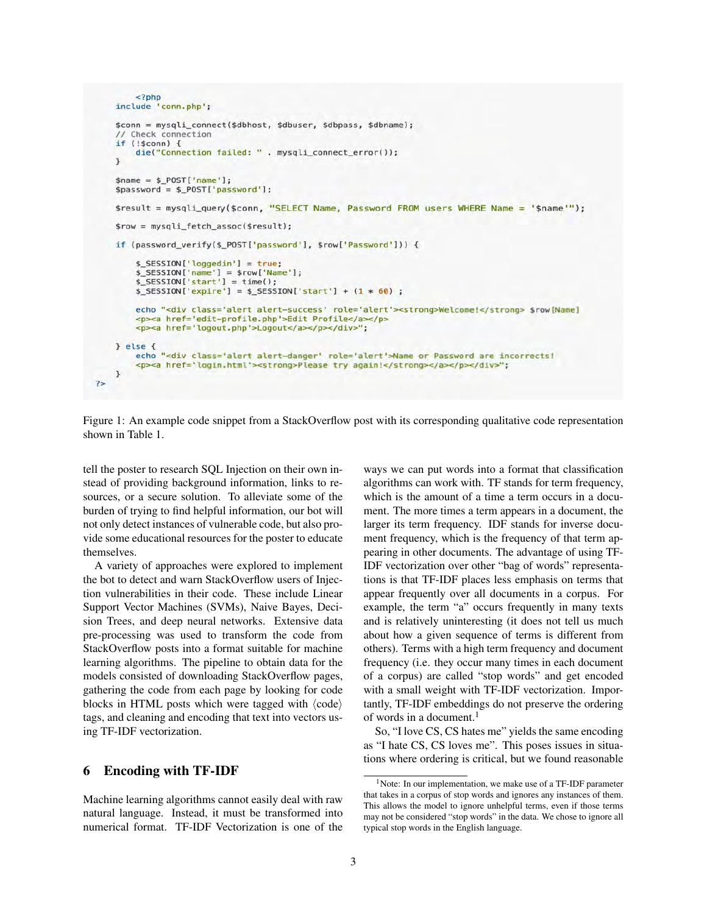```
<?php
 include 'conn.php';
 $conn = mysqli_connect($dbhost, $dbuser, $dbpass, $dbname);
   Check connection
 if (!5conn) {
     die("Connection failed: " . mysqli_connect_error());
 \mathbf{r}$name = $_POST['name'];
 $password = $_POST['password'];
 $result = mysqli_query($conn, "SELECT Name, Password FROM users WHERE Name = '$name'");
 $row = mysqli_fetch_assoc($result);
 if (password verify($ POST['password'], $row['Password'])) {
     $_SESSION['loggedin'] = true;
     $_SESSSION['name'] = $row['Name'];
     $ESSION['start'] = time();$_SESSION['expire'] = $_SESSION['start'] + (1 * 60) ;
     echo "<div class='alert alert-success' role='alert'><strong>Welcome!</strong> $row[Name]
     <p><a href='edit-profile.php'>Edit Profile</a></p>
     <p><a href='logout.php'>Logout</a></p></div>";
} else {
     echo "<div class='alert alert-danger' role='alert'>Name or Password are incorrects!
     <p><a href='login.html'><strong>Please try again!</strong></a></p></div>";
\mathcal{F}75
```
Figure 1: An example code snippet from a StackOverflow post with its corresponding qualitative code representation shown in Table 1.

tell the poster to research SQL Injection on their own instead of providing background information, links to resources, or a secure solution. To alleviate some of the burden of trying to find helpful information, our bot will not only detect instances of vulnerable code, but also provide some educational resources for the poster to educate themselves.

A variety of approaches were explored to implement the bot to detect and warn StackOverflow users of Injection vulnerabilities in their code. These include Linear Support Vector Machines (SVMs), Naive Bayes, Decision Trees, and deep neural networks. Extensive data pre-processing was used to transform the code from StackOverflow posts into a format suitable for machine learning algorithms. The pipeline to obtain data for the models consisted of downloading StackOverflow pages, gathering the code from each page by looking for code blocks in HTML posts which were tagged with  $\langle \text{code} \rangle$ tags, and cleaning and encoding that text into vectors using TF-IDF vectorization.

#### 6 Encoding with TF-IDF

Machine learning algorithms cannot easily deal with raw natural language. Instead, it must be transformed into numerical format. TF-IDF Vectorization is one of the ways we can put words into a format that classification algorithms can work with. TF stands for term frequency, which is the amount of a time a term occurs in a document. The more times a term appears in a document, the larger its term frequency. IDF stands for inverse document frequency, which is the frequency of that term appearing in other documents. The advantage of using TF-IDF vectorization over other "bag of words" representations is that TF-IDF places less emphasis on terms that appear frequently over all documents in a corpus. For example, the term "a" occurs frequently in many texts and is relatively uninteresting (it does not tell us much about how a given sequence of terms is different from others). Terms with a high term frequency and document frequency (i.e. they occur many times in each document of a corpus) are called "stop words" and get encoded with a small weight with TF-IDF vectorization. Importantly, TF-IDF embeddings do not preserve the ordering of words in a document.<sup>1</sup>

So, "I love CS, CS hates me" yields the same encoding as "I hate CS, CS loves me". This poses issues in situations where ordering is critical, but we found reasonable

<sup>&</sup>lt;sup>1</sup>Note: In our implementation, we make use of a TF-IDF parameter that takes in a corpus of stop words and ignores any instances of them. This allows the model to ignore unhelpful terms, even if those terms may not be considered "stop words" in the data. We chose to ignore all typical stop words in the English language.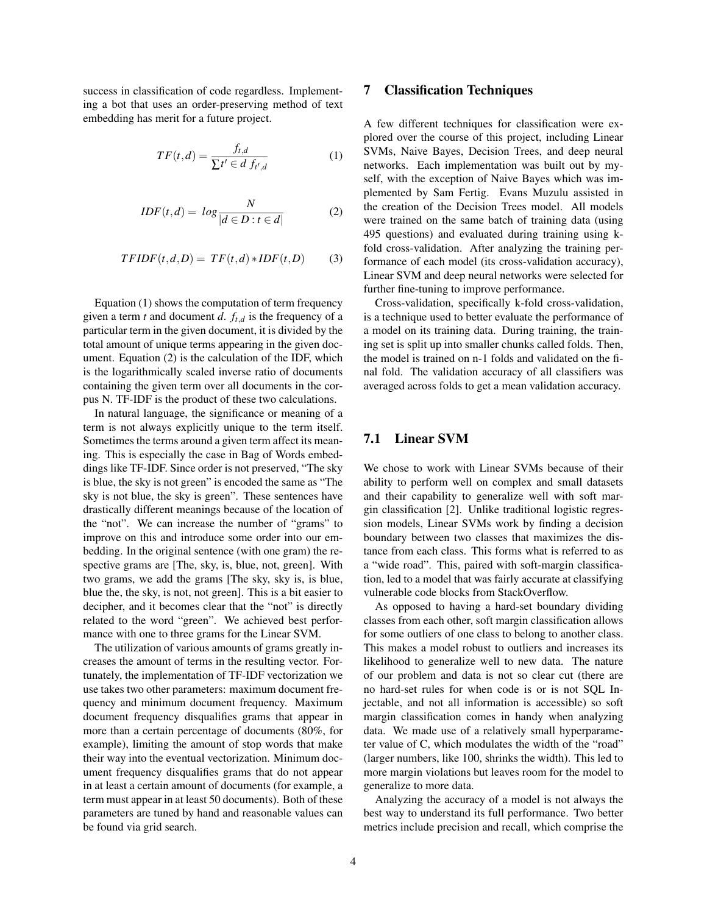success in classification of code regardless. Implementing a bot that uses an order-preserving method of text embedding has merit for a future project.

$$
TF(t,d) = \frac{f_{t,d}}{\sum t' \in d \ f_{t',d}} \tag{1}
$$

$$
IDF(t,d) = log \frac{N}{|d \in D : t \in d|}
$$
 (2)

$$
TFIDF(t,d,D) = TF(t,d) * IDF(t,D)
$$
 (3)

Equation (1) shows the computation of term frequency given a term *t* and document *d*. *ft*,*<sup>d</sup>* is the frequency of a particular term in the given document, it is divided by the total amount of unique terms appearing in the given document. Equation (2) is the calculation of the IDF, which is the logarithmically scaled inverse ratio of documents containing the given term over all documents in the corpus N. TF-IDF is the product of these two calculations.

In natural language, the significance or meaning of a term is not always explicitly unique to the term itself. Sometimes the terms around a given term affect its meaning. This is especially the case in Bag of Words embeddings like TF-IDF. Since order is not preserved, "The sky is blue, the sky is not green" is encoded the same as "The sky is not blue, the sky is green". These sentences have drastically different meanings because of the location of the "not". We can increase the number of "grams" to improve on this and introduce some order into our embedding. In the original sentence (with one gram) the respective grams are [The, sky, is, blue, not, green]. With two grams, we add the grams [The sky, sky is, is blue, blue the, the sky, is not, not green]. This is a bit easier to decipher, and it becomes clear that the "not" is directly related to the word "green". We achieved best performance with one to three grams for the Linear SVM.

The utilization of various amounts of grams greatly increases the amount of terms in the resulting vector. Fortunately, the implementation of TF-IDF vectorization we use takes two other parameters: maximum document frequency and minimum document frequency. Maximum document frequency disqualifies grams that appear in more than a certain percentage of documents (80%, for example), limiting the amount of stop words that make their way into the eventual vectorization. Minimum document frequency disqualifies grams that do not appear in at least a certain amount of documents (for example, a term must appear in at least 50 documents). Both of these parameters are tuned by hand and reasonable values can be found via grid search.

#### 7 Classification Techniques

A few different techniques for classification were explored over the course of this project, including Linear SVMs, Naive Bayes, Decision Trees, and deep neural networks. Each implementation was built out by myself, with the exception of Naive Bayes which was implemented by Sam Fertig. Evans Muzulu assisted in the creation of the Decision Trees model. All models were trained on the same batch of training data (using 495 questions) and evaluated during training using kfold cross-validation. After analyzing the training performance of each model (its cross-validation accuracy), Linear SVM and deep neural networks were selected for further fine-tuning to improve performance.

Cross-validation, specifically k-fold cross-validation, is a technique used to better evaluate the performance of a model on its training data. During training, the training set is split up into smaller chunks called folds. Then, the model is trained on n-1 folds and validated on the final fold. The validation accuracy of all classifiers was averaged across folds to get a mean validation accuracy.

#### 7.1 Linear SVM

We chose to work with Linear SVMs because of their ability to perform well on complex and small datasets and their capability to generalize well with soft margin classification [2]. Unlike traditional logistic regression models, Linear SVMs work by finding a decision boundary between two classes that maximizes the distance from each class. This forms what is referred to as a "wide road". This, paired with soft-margin classification, led to a model that was fairly accurate at classifying vulnerable code blocks from StackOverflow.

As opposed to having a hard-set boundary dividing classes from each other, soft margin classification allows for some outliers of one class to belong to another class. This makes a model robust to outliers and increases its likelihood to generalize well to new data. The nature of our problem and data is not so clear cut (there are no hard-set rules for when code is or is not SQL Injectable, and not all information is accessible) so soft margin classification comes in handy when analyzing data. We made use of a relatively small hyperparameter value of C, which modulates the width of the "road" (larger numbers, like 100, shrinks the width). This led to more margin violations but leaves room for the model to generalize to more data.

Analyzing the accuracy of a model is not always the best way to understand its full performance. Two better metrics include precision and recall, which comprise the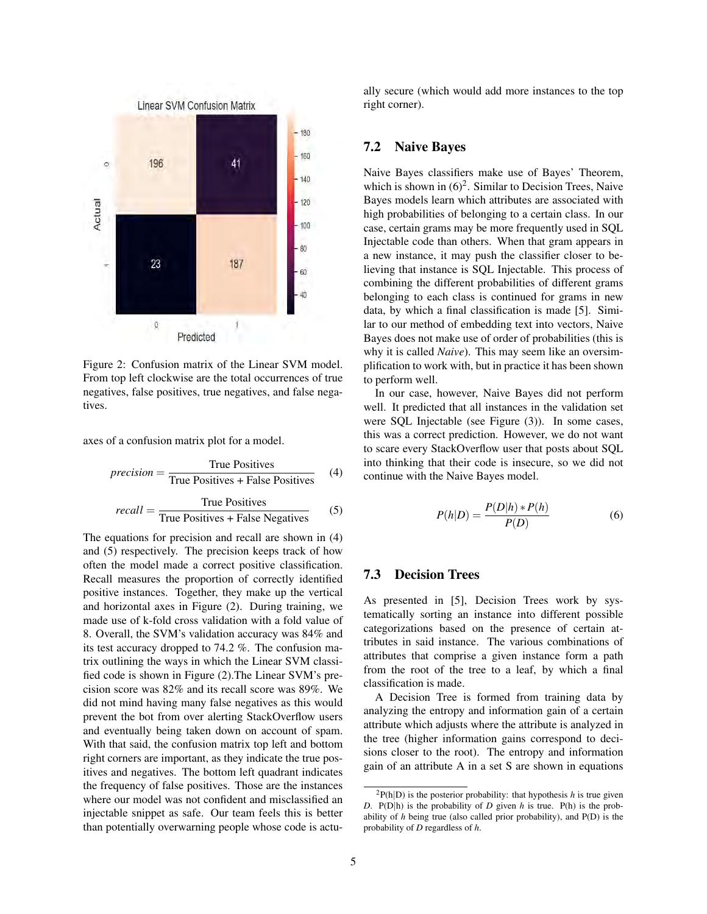

Figure 2: Confusion matrix of the Linear SVM model. From top left clockwise are the total occurrences of true negatives, false positives, true negatives, and false negatives.

axes of a confusion matrix plot for a model.

$$
precision = \frac{True \text{ Positives}}{True \text{ Positives} + False \text{ Positives}} \quad (4)
$$

$$
recall = \frac{True \text{ Positives}}{True \text{ Positives} + False \text{ Negatives}} \tag{5}
$$

The equations for precision and recall are shown in (4) and (5) respectively. The precision keeps track of how often the model made a correct positive classification. Recall measures the proportion of correctly identified positive instances. Together, they make up the vertical and horizontal axes in Figure (2). During training, we made use of k-fold cross validation with a fold value of 8. Overall, the SVM's validation accuracy was 84% and its test accuracy dropped to 74.2 %. The confusion matrix outlining the ways in which the Linear SVM classified code is shown in Figure (2).The Linear SVM's precision score was 82% and its recall score was 89%. We did not mind having many false negatives as this would prevent the bot from over alerting StackOverflow users and eventually being taken down on account of spam. With that said, the confusion matrix top left and bottom right corners are important, as they indicate the true positives and negatives. The bottom left quadrant indicates the frequency of false positives. Those are the instances where our model was not confident and misclassified an injectable snippet as safe. Our team feels this is better than potentially overwarning people whose code is actually secure (which would add more instances to the top right corner).

#### 7.2 Naive Bayes

Naive Bayes classifiers make use of Bayes' Theorem, which is shown in  $(6)^2$ . Similar to Decision Trees, Naive Bayes models learn which attributes are associated with high probabilities of belonging to a certain class. In our case, certain grams may be more frequently used in SQL Injectable code than others. When that gram appears in a new instance, it may push the classifier closer to believing that instance is SQL Injectable. This process of combining the different probabilities of different grams belonging to each class is continued for grams in new data, by which a final classification is made [5]. Similar to our method of embedding text into vectors, Naive Bayes does not make use of order of probabilities (this is why it is called *Naive*). This may seem like an oversimplification to work with, but in practice it has been shown to perform well.

In our case, however, Naive Bayes did not perform well. It predicted that all instances in the validation set were SQL Injectable (see Figure (3)). In some cases, this was a correct prediction. However, we do not want to scare every StackOverflow user that posts about SQL into thinking that their code is insecure, so we did not continue with the Naive Bayes model.

$$
P(h|D) = \frac{P(D|h) * P(h)}{P(D)}\tag{6}
$$

#### 7.3 Decision Trees

As presented in [5], Decision Trees work by systematically sorting an instance into different possible categorizations based on the presence of certain attributes in said instance. The various combinations of attributes that comprise a given instance form a path from the root of the tree to a leaf, by which a final classification is made.

A Decision Tree is formed from training data by analyzing the entropy and information gain of a certain attribute which adjusts where the attribute is analyzed in the tree (higher information gains correspond to decisions closer to the root). The entropy and information gain of an attribute A in a set S are shown in equations

 ${}^{2}P(h|D)$  is the posterior probability: that hypothesis *h* is true given *D*. P(D|h) is the probability of *D* given *h* is true. P(h) is the probability of *h* being true (also called prior probability), and P(D) is the probability of *D* regardless of *h*.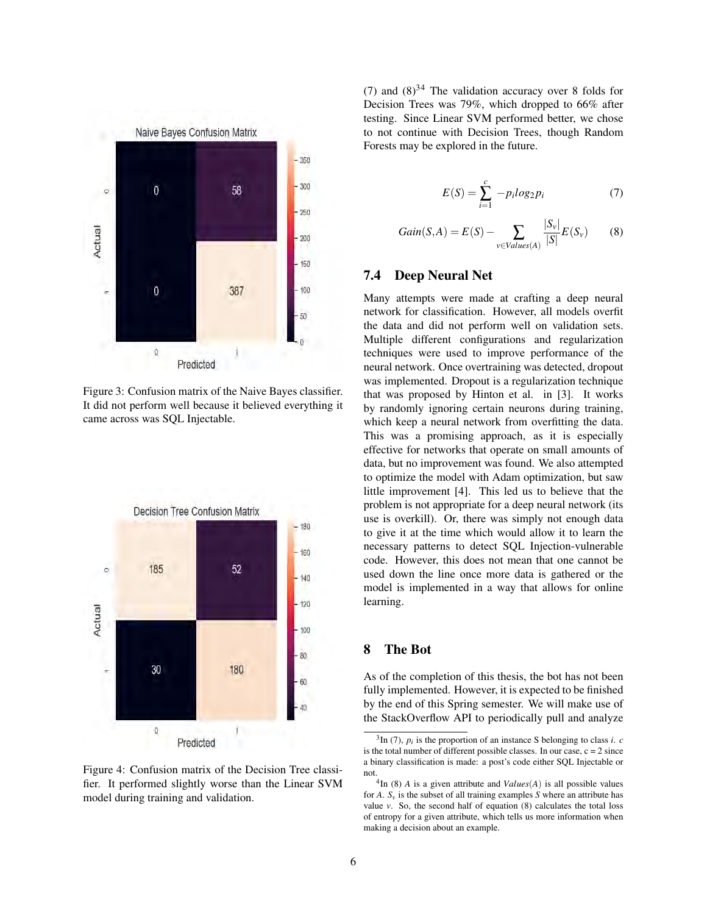

Figure 3: Confusion matrix of the Naive Bayes classifier. It did not perform well because it believed everything it came across was SQL Injectable.



Figure 4: Confusion matrix of the Decision Tree classifier. It performed slightly worse than the Linear SVM model during training and validation.

(7) and  $(8)^{34}$  The validation accuracy over 8 folds for Decision Trees was 79%, which dropped to 66% after testing. Since Linear SVM performed better, we chose to not continue with Decision Trees, though Random Forests may be explored in the future.

$$
E(S) = \sum_{i=1}^{c} -p_i log_2 p_i \tag{7}
$$

$$
Gain(S, A) = E(S) - \sum_{v \in Values(A)} \frac{|S_v|}{|S|} E(S_v)
$$
(8)

#### 7.4 Deep Neural Net

Many attempts were made at crafting a deep neural network for classification. However, all models overfit the data and did not perform well on validation sets. Multiple different configurations and regularization techniques were used to improve performance of the neural network. Once overtraining was detected, dropout was implemented. Dropout is a regularization technique that was proposed by Hinton et al. in [3]. It works by randomly ignoring certain neurons during training, which keep a neural network from overfitting the data. This was a promising approach, as it is especially effective for networks that operate on small amounts of data, but no improvement was found. We also attempted to optimize the model with Adam optimization, but saw little improvement [4]. This led us to believe that the problem is not appropriate for a deep neural network (its use is overkill). Or, there was simply not enough data to give it at the time which would allow it to learn the necessary patterns to detect SQL Injection-vulnerable code. However, this does not mean that one cannot be used down the line once more data is gathered or the model is implemented in a way that allows for online learning.

#### 8 The Bot

As of the completion of this thesis, the bot has not been fully implemented. However, it is expected to be finished by the end of this Spring semester. We will make use of the StackOverflow API to periodically pull and analyze

 $^{3}$ In (7),  $p_i$  is the proportion of an instance S belonging to class *i*. *c* is the total number of different possible classes. In our case,  $c = 2$  since a binary classification is made: a post's code either SQL Injectable or not.

 ${}^{4}$ In (8) *A* is a given attribute and *Values*(*A*) is all possible values for *A*.  $S_v$  is the subset of all training examples *S* where an attribute has value *v*. So, the second half of equation (8) calculates the total loss of entropy for a given attribute, which tells us more information when making a decision about an example.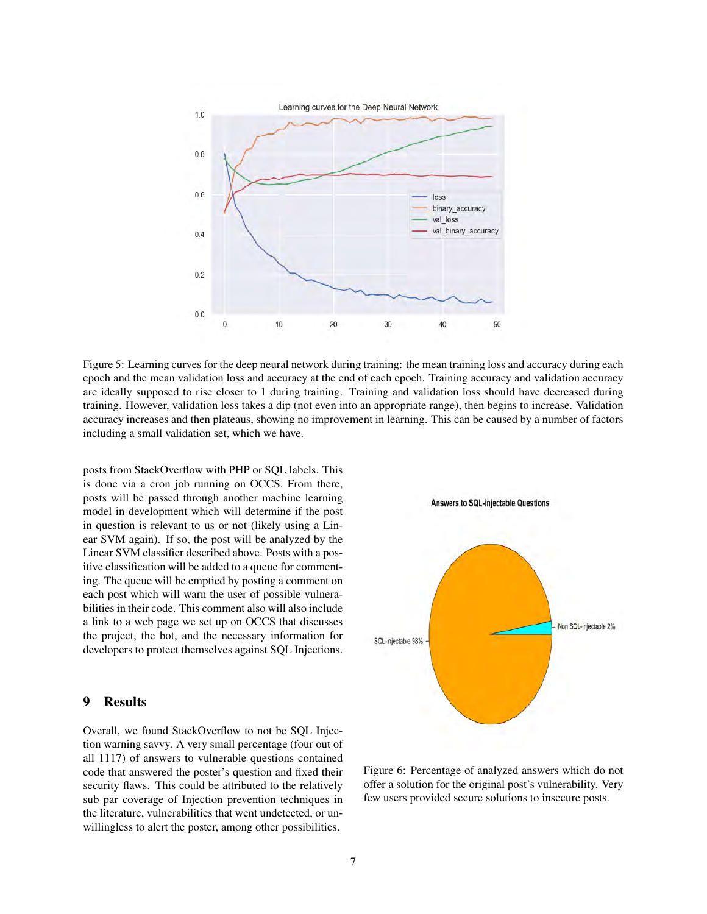

Figure 5: Learning curves for the deep neural network during training: the mean training loss and accuracy during each epoch and the mean validation loss and accuracy at the end of each epoch. Training accuracy and validation accuracy are ideally supposed to rise closer to 1 during training. Training and validation loss should have decreased during training. However, validation loss takes a dip (not even into an appropriate range), then begins to increase. Validation accuracy increases and then plateaus, showing no improvement in learning. This can be caused by a number of factors including a small validation set, which we have.

posts from StackOverflow with PHP or SQL labels. This is done via a cron job running on OCCS. From there, posts will be passed through another machine learning model in development which will determine if the post in question is relevant to us or not (likely using a Linear SVM again). If so, the post will be analyzed by the Linear SVM classifier described above. Posts with a positive classification will be added to a queue for commenting. The queue will be emptied by posting a comment on each post which will warn the user of possible vulnerabilities in their code. This comment also will also include a link to a web page we set up on OCCS that discusses the project, the bot, and the necessary information for developers to protect themselves against SQL Injections.

#### 9 Results

Overall, we found StackOverflow to not be SQL Injection warning savvy. A very small percentage (four out of all 1117) of answers to vulnerable questions contained code that answered the poster's question and fixed their security flaws. This could be attributed to the relatively sub par coverage of Injection prevention techniques in the literature, vulnerabilities that went undetected, or unwillingless to alert the poster, among other possibilities.



Figure 6: Percentage of analyzed answers which do not offer a solution for the original post's vulnerability. Very few users provided secure solutions to insecure posts.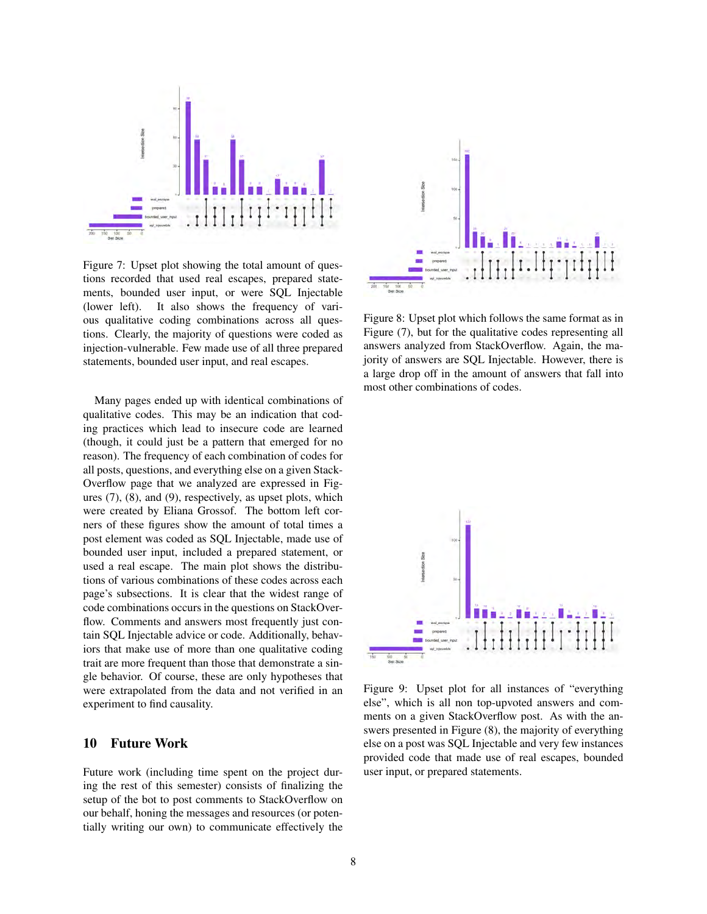

Figure 7: Upset plot showing the total amount of questions recorded that used real escapes, prepared statements, bounded user input, or were SQL Injectable (lower left). It also shows the frequency of various qualitative coding combinations across all questions. Clearly, the majority of questions were coded as injection-vulnerable. Few made use of all three prepared statements, bounded user input, and real escapes.

Many pages ended up with identical combinations of qualitative codes. This may be an indication that coding practices which lead to insecure code are learned (though, it could just be a pattern that emerged for no reason). The frequency of each combination of codes for all posts, questions, and everything else on a given Stack-Overflow page that we analyzed are expressed in Figures (7), (8), and (9), respectively, as upset plots, which were created by Eliana Grossof. The bottom left corners of these figures show the amount of total times a post element was coded as SQL Injectable, made use of bounded user input, included a prepared statement, or used a real escape. The main plot shows the distributions of various combinations of these codes across each page's subsections. It is clear that the widest range of code combinations occurs in the questions on StackOverflow. Comments and answers most frequently just contain SQL Injectable advice or code. Additionally, behaviors that make use of more than one qualitative coding trait are more frequent than those that demonstrate a single behavior. Of course, these are only hypotheses that were extrapolated from the data and not verified in an experiment to find causality.

#### 10 Future Work

Future work (including time spent on the project during the rest of this semester) consists of finalizing the setup of the bot to post comments to StackOverflow on our behalf, honing the messages and resources (or potentially writing our own) to communicate effectively the



Figure 8: Upset plot which follows the same format as in Figure (7), but for the qualitative codes representing all answers analyzed from StackOverflow. Again, the majority of answers are SQL Injectable. However, there is a large drop off in the amount of answers that fall into most other combinations of codes.



Figure 9: Upset plot for all instances of "everything else", which is all non top-upvoted answers and comments on a given StackOverflow post. As with the answers presented in Figure (8), the majority of everything else on a post was SQL Injectable and very few instances provided code that made use of real escapes, bounded user input, or prepared statements.